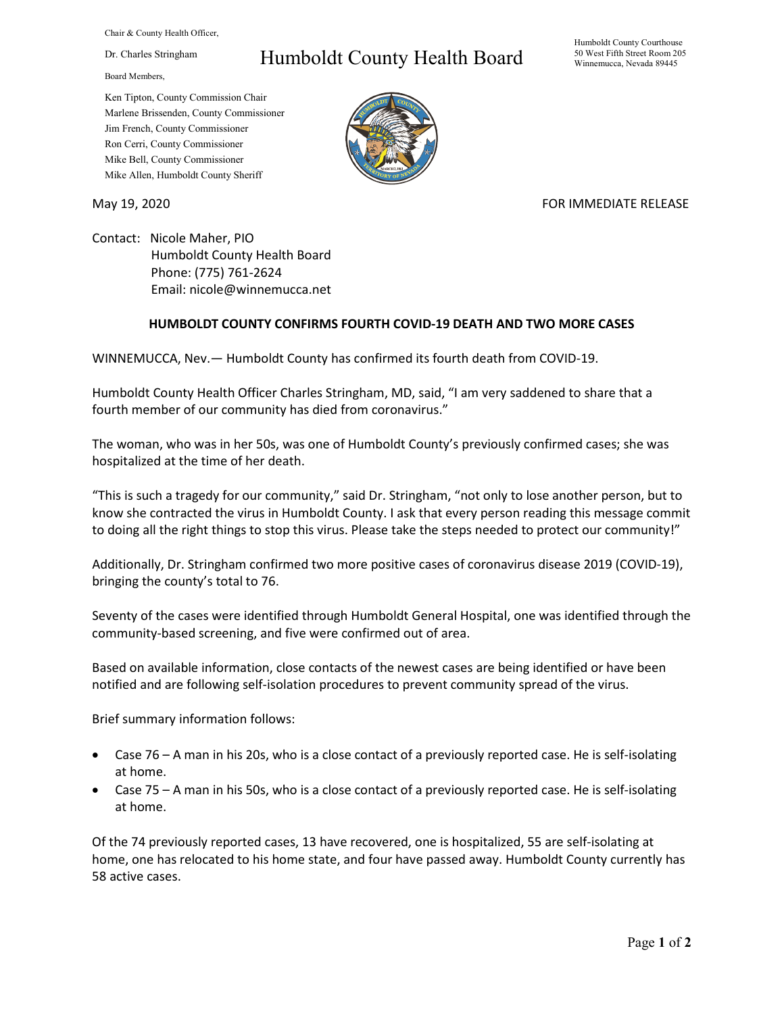Chair & County Health Officer,

Dr. Charles Stringham

Board Members,

## Humboldt County Health Board

Humboldt County Courthouse 50 West Fifth Street Room 205 Winnemucca, Nevada 89445

Ken Tipton, County Commission Chair Marlene Brissenden, County Commissioner Jim French, County Commissioner Ron Cerri, County Commissioner Mike Bell, County Commissioner Mike Allen, Humboldt County Sheriff

May 19, 2020 **FOR IMMEDIATE RELEASE** 

Contact: Nicole Maher, PIO Humboldt County Health Board Phone: (775) 761-2624 Email: nicole@winnemucca.net

## **HUMBOLDT COUNTY CONFIRMS FOURTH COVID-19 DEATH AND TWO MORE CASES**

WINNEMUCCA, Nev.— Humboldt County has confirmed its fourth death from COVID-19.

Humboldt County Health Officer Charles Stringham, MD, said, "I am very saddened to share that a fourth member of our community has died from coronavirus."

The woman, who was in her 50s, was one of Humboldt County's previously confirmed cases; she was hospitalized at the time of her death.

"This is such a tragedy for our community," said Dr. Stringham, "not only to lose another person, but to know she contracted the virus in Humboldt County. I ask that every person reading this message commit to doing all the right things to stop this virus. Please take the steps needed to protect our community!"

Additionally, Dr. Stringham confirmed two more positive cases of coronavirus disease 2019 (COVID-19), bringing the county's total to 76.

Seventy of the cases were identified through Humboldt General Hospital, one was identified through the community-based screening, and five were confirmed out of area.

Based on available information, close contacts of the newest cases are being identified or have been notified and are following self-isolation procedures to prevent community spread of the virus.

Brief summary information follows:

- Case 76 A man in his 20s, who is a close contact of a previously reported case. He is self-isolating at home.
- Case 75 A man in his 50s, who is a close contact of a previously reported case. He is self-isolating at home.

Of the 74 previously reported cases, 13 have recovered, one is hospitalized, 55 are self-isolating at home, one has relocated to his home state, and four have passed away. Humboldt County currently has 58 active cases.